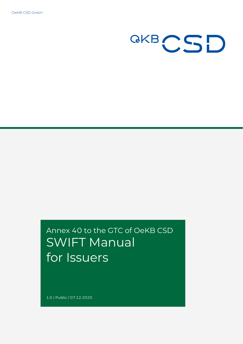OeKB CSD GmbH



# Annex 40 to the GTC of OeKB CSD SWIFT Manual for Issuers

1.0 / Public / 07.12.2020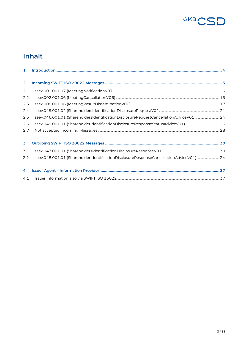

# **Inhalt**

| 2.  |                                                                                       |  |
|-----|---------------------------------------------------------------------------------------|--|
| 2.1 |                                                                                       |  |
| 2.2 |                                                                                       |  |
| 2.3 |                                                                                       |  |
| 2.4 |                                                                                       |  |
| 2.5 | seev.046.001.01 (ShareholdersIdentificationDisclosureRequestCancellationAdviceV01) 24 |  |
| 2.6 |                                                                                       |  |
| 2.7 |                                                                                       |  |
|     |                                                                                       |  |
| 3.  |                                                                                       |  |
| 3.1 |                                                                                       |  |
| 3.2 | seev.048.001.01 (ShareholderIdentificationDisclosureResponseCancellationAdviceV01)34  |  |
|     |                                                                                       |  |
| 4.  |                                                                                       |  |
| 4.1 |                                                                                       |  |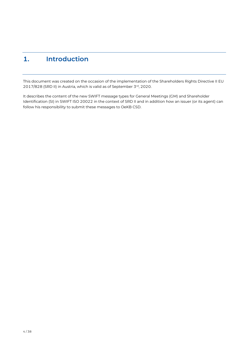# <span id="page-3-0"></span>**1. Introduction**

This document was created on the occasion of the implementation of the Shareholders Rights Directive II EU 2017/828 (SRD II) in Austria, which is valid as of September 3rd, 2020.

It describes the content of the new SWIFT message types for General Meetings (GM) and Shareholder Identification (SI) in SWIFT ISO 20022 in the context of SRD II and in addition how an issuer (or its agent) can follow his responsibility to submit these messages to OeKB CSD.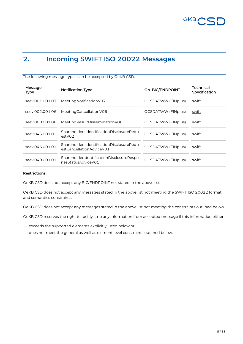

## <span id="page-4-0"></span>**2. Incoming SWIFT ISO 20022 Messages**

The following message types can be accepted by OeKB CSD:

| Message<br><b>Type</b> | <b>Notification Type</b>                                             | On BIC/ENDPOINT           | Technical<br>Specification |
|------------------------|----------------------------------------------------------------------|---------------------------|----------------------------|
| seev.001.001.07        | Meeting Notification V07                                             | OCSDATWW (FINplus)        | swift                      |
| seev.002.001.06        | MeetingCancellationV06                                               | OCSDATWW (FINplus)        | swift                      |
| seev.008.001.06        | Meeting Result Dissemination V06                                     | OCSDATWW (FINplus)        | swift                      |
| seev.045.001.02        | ShareholdersIdentificationDisclosureRequ<br>estV02                   | <b>OCSDATWW (FINplus)</b> | swift                      |
| seev.046.001.01        | ShareholdersIdentificationDisclosureRequ<br>estCancellationAdviceV01 | <b>OCSDATWW (FINplus)</b> | swift                      |
| seev.049.001.01        | ShareholderIdentificationDisclosureRespo<br>nseStatusAdviceV01       | <b>OCSDATWW (FINplus)</b> | swift                      |

#### **Restrictions:**

OeKB CSD does not accept any BIC/ENDPOINT not stated in the above list.

OeKB CSD does not accept any messages stated in the above list not meeting the SWIFT ISO 20022 format and semantics constraints.

OeKB CSD does not accept any messages stated in the above list not meeting the constraints outlined below.

OeKB CSD reserves the right to tacitly strip any information from accepted message if this information either

- exceeds the supported elements explicitly listed below or
- does not meet the general as well as element level constraints outlined below.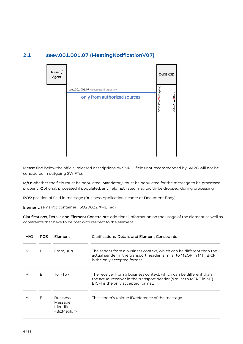# Issuer / OeKB CSD Agent **DCSDATWW (FINplus)** seev.001.001.07 MeetingNotificationV07 DCSDATW2 (CUG) only from authorized sources

#### <span id="page-5-0"></span>**2.1 seev.001.001.07 (MeetingNotificationV07)**

Please find below the official released descriptions by SMPG (fields not recommended by SMPG will not be considered in outgoing SWIFTs):

M/O: whether the field must be populated; Mandatory: must be populated for the message to be processed properly; Optional: processed if populated; any field not listed may tacitly be dropped during processing

POS: position of field in message (Business Application Header or Document Body)

Element: semantic container (ISO20022 XML Tag)

|   | POS | Element                                                              | <b>Clarifications, Details and Element Constraints</b>                                                                                                                          |
|---|-----|----------------------------------------------------------------------|---------------------------------------------------------------------------------------------------------------------------------------------------------------------------------|
| М | B   | From, <fr></fr>                                                      | The sender from a business context, which can be different than the<br>actual sender in the transport header (similar to MEOR in MT). BICFI<br>is the only accepted format.     |
| М | B   | To. $<$ To $>$                                                       | The receiver from a business context, which can be different than<br>the actual receiver in the transport header (similar to MERE in MT).<br>BICFI is the only accepted format. |
| М | B   | <b>Business</b><br>Message<br>Identifier.<br><bizmsgldr></bizmsgldr> | The sender's unique ID/reference of the message                                                                                                                                 |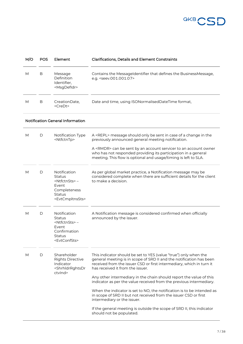

| M/O | <b>POS</b> | Element                                                                                                                             | <b>Clarifications, Details and Element Constraints</b>                                                                                                                                                                                                                                                                                                                                                                                                                                                                                                                                                                                                                              |
|-----|------------|-------------------------------------------------------------------------------------------------------------------------------------|-------------------------------------------------------------------------------------------------------------------------------------------------------------------------------------------------------------------------------------------------------------------------------------------------------------------------------------------------------------------------------------------------------------------------------------------------------------------------------------------------------------------------------------------------------------------------------------------------------------------------------------------------------------------------------------|
| M   | B          | Message<br>Definition<br>Identifier,<br><msgdefidr></msgdefidr>                                                                     | Contains the MessageIdentifier that defines the BusinessMessage,<br>e.g. <seev.001.001.07></seev.001.001.07>                                                                                                                                                                                                                                                                                                                                                                                                                                                                                                                                                                        |
| M   | B          | CreationDate,<br><credt></credt>                                                                                                    | Date and time, using ISONormalisedDateTime format,                                                                                                                                                                                                                                                                                                                                                                                                                                                                                                                                                                                                                                  |
|     |            | <b>Notification General Information</b>                                                                                             |                                                                                                                                                                                                                                                                                                                                                                                                                                                                                                                                                                                                                                                                                     |
| M   | D          | Notification Type<br><ntfctntp></ntfctntp>                                                                                          | A <repl> message should only be sent in case of a change in the<br/>previously announced general meeting notification.<br/>A <rmdr> can be sent by an account servicer to an account owner<br/>who has not responded providing its participation in a general<br/>meeting. This flow is optional and usage/timing is left to SLA.</rmdr></repl>                                                                                                                                                                                                                                                                                                                                     |
| M   | D          | Notification<br>Status<br><ntfctnsts>-<br/>Event<br/>Completeness<br/><b>Status</b><br/><evtcmpltnssts></evtcmpltnssts></ntfctnsts> | As per global market practice, a Notification message may be<br>considered complete when there are sufficient details for the client<br>to make a decision.                                                                                                                                                                                                                                                                                                                                                                                                                                                                                                                         |
| M   | D          | Notification<br><b>Status</b><br><ntfctnsts>-<br/>Event<br/>Confirmation<br/>Status<br/><evtconfsts></evtconfsts></ntfctnsts>       | A Notification message is considered confirmed when officially<br>announced by the issuer.                                                                                                                                                                                                                                                                                                                                                                                                                                                                                                                                                                                          |
| M   | D          | Shareholder<br><b>Rights Directive</b><br>Indicator<br><shrhldrrghtsdr<br>ctvlnd&gt;</shrhldrrghtsdr<br>                            | This indicator should be set to YES (value "true") only when the<br>general meeting is in scope of SRD II and the notification has been<br>received from the issuer CSD or first intermediary, which in turn it<br>has received it from the issuer.<br>Any other intermediary in the chain should report the value of this<br>indicator as per the value received from the previous intermediary.<br>When the indicator is set to NO, the notification is to be intended as<br>in scope of SRD II but not received from the issuer CSD or first<br>intermediary or the issuer.<br>If the general meeting is outside the scope of SRD II, this indicator<br>should not be populated. |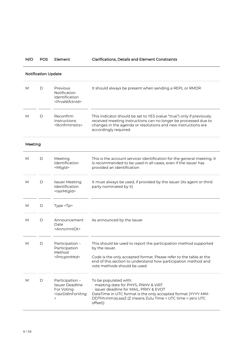M/O POS Element Clarifications, Details and Element Constraints

|         | <b>Notification Update</b> |                                                                                                                                           |                                                                                                                                                                                                                                                            |  |  |
|---------|----------------------------|-------------------------------------------------------------------------------------------------------------------------------------------|------------------------------------------------------------------------------------------------------------------------------------------------------------------------------------------------------------------------------------------------------------|--|--|
| М       | D                          | Previous<br>Notification<br>Identification<br><prvsntfctnld></prvsntfctnld>                                                               | It should always be present when sending a REPL or RMDR                                                                                                                                                                                                    |  |  |
| М       | D                          | Reconfirm<br>Instructions<br><rcnfrminstrs></rcnfrminstrs>                                                                                | This indicator should be set to YES (value "true") only if previously<br>received meeting instructions can no longer be processed due to<br>changes in the agenda or resolutions and new instructions are<br>accordingly required.                         |  |  |
| Meeting |                            |                                                                                                                                           |                                                                                                                                                                                                                                                            |  |  |
| М       | D                          | Meeting<br>Identification<br><mtgld></mtgld>                                                                                              | This is the account servicer identification for the general meeting. It<br>is recommended to be used in all cases, even if the issuer has<br>provided an identification                                                                                    |  |  |
| М       | D                          | <b>Issuer Meeting</b><br>Identification<br><lssrmtgld></lssrmtgld>                                                                        | It must always be used, if provided by the issuer (its agent or third<br>party nominated by it)                                                                                                                                                            |  |  |
| М       | D                          | Type <tp></tp>                                                                                                                            |                                                                                                                                                                                                                                                            |  |  |
| М       | D                          | Announcement<br>Date<br><anncmntdt></anncmntdt>                                                                                           | As announced by the issuer                                                                                                                                                                                                                                 |  |  |
| М       | D                          | Participation -<br>Participation<br>Method<br><prtcptnmtd></prtcptnmtd>                                                                   | This should be used to report the participation method supported<br>by the issuer.<br>Code is the only accepted format. Please refer to the table at the<br>end of this section to understand how participation method and<br>vote methods should be used. |  |  |
| М       | D                          | Participation -<br><b>Issuer Deadline</b><br>For Voting<br><issrddinforvtng<br><math display="inline">\, &gt;</math></issrddinforvtng<br> | To be populated with:<br>· meeting date for PHYS, PNHV & VIRT<br>· issuer deadline for MAIL, PRXY & EVOT<br>DateTime in UTC format is the only accepted format (YYYY-MM-<br>DDThh:mm:ss.sssZ (Z means Zulu Time ≡ UTC time ≡ zero UTC<br>offset))          |  |  |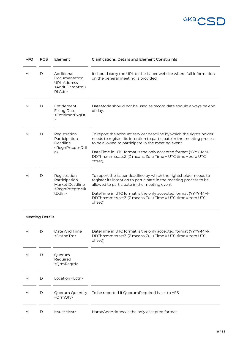

| M/O | <b>POS</b>             | Element                                                                                                          | <b>Clarifications, Details and Element Constraints</b>                                                                                                                                                                                                                                                                                     |
|-----|------------------------|------------------------------------------------------------------------------------------------------------------|--------------------------------------------------------------------------------------------------------------------------------------------------------------------------------------------------------------------------------------------------------------------------------------------------------------------------------------------|
| M   | D                      | Additional<br>Documentation<br><b>URL Address</b><br><addtldcmnttnu<br>RLAdr&gt;</addtldcmnttnu<br>              | It should carry the URL to the issuer website where full information<br>on the general meeting is provided.                                                                                                                                                                                                                                |
| M   | D                      | Entitlement<br><b>Fixing Date</b><br><entitimntfxgdt<br><math display="inline">\,&gt;</math></entitimntfxgdt<br> | DateMode should not be used as record date should always be end<br>of day.                                                                                                                                                                                                                                                                 |
| M   | D                      | Registration<br>Participation<br>Deadline<br><regnprtcptnddl<br>n &gt;</regnprtcptnddl<br>                       | To report the account servicer deadline by which the rights holder<br>needs to register its intention to participate in the meeting process<br>to be allowed to participate in the meeting event.<br>DateTime in UTC format is the only accepted format (YYYY-MM-<br>DDThh:mm:ss.sssZ (Z means Zulu Time ≡ UTC time ≡ zero UTC<br>offset)) |
| M   | D                      | Registration<br>Participation<br>Market Deadline<br><regnprtcptnmk<br>tDdln&gt;</regnprtcptnmk<br>               | To report the issuer deadline by which the rightsholder needs to<br>register its intention to participate in the meeting process to be<br>allowed to participate in the meeting event.<br>DateTime in UTC format is the only accepted format (YYYY-MM-<br>DDThh:mm:ss.sssZ (Z means Zulu Time ≡ UTC time ≡ zero UTC<br>offset))            |
|     | <b>Meeting Details</b> |                                                                                                                  |                                                                                                                                                                                                                                                                                                                                            |
| M   | D                      | Date And Time<br><dtandtm></dtandtm>                                                                             | DateTime in UTC format is the only accepted format (YYYY-MM-<br>DDThh:mm:ss.sssZ (Z means Zulu Time ≡ UTC time ≡ zero UTC<br>offset))                                                                                                                                                                                                      |
| М   | D                      | Quorum<br>Required<br><qrmreqrd></qrmreqrd>                                                                      |                                                                                                                                                                                                                                                                                                                                            |
| М   | D                      | Location <lctn></lctn>                                                                                           |                                                                                                                                                                                                                                                                                                                                            |
| М   | D                      | Quorum Quantity<br><qrmqty></qrmqty>                                                                             | To be reported if Quorum Required is set to YES                                                                                                                                                                                                                                                                                            |
| М   | D                      | Issuer <lssr></lssr>                                                                                             | NameAndAddress is the only accepted format                                                                                                                                                                                                                                                                                                 |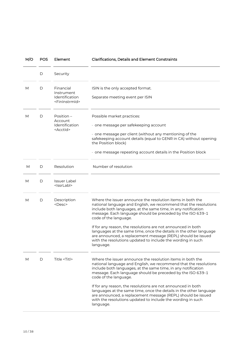| M/O | <b>POS</b> | Element                                                                  | <b>Clarifications, Details and Element Constraints</b>                                                                                                                                                                                                                                                                                                                                                                                                                                                                                                                   |
|-----|------------|--------------------------------------------------------------------------|--------------------------------------------------------------------------------------------------------------------------------------------------------------------------------------------------------------------------------------------------------------------------------------------------------------------------------------------------------------------------------------------------------------------------------------------------------------------------------------------------------------------------------------------------------------------------|
|     | D          | Security                                                                 |                                                                                                                                                                                                                                                                                                                                                                                                                                                                                                                                                                          |
| М   | D          | Financial<br>Instrument<br>Identification<br><fininstrmid></fininstrmid> | ISIN is the only accepted format.<br>Separate meeting event per ISIN                                                                                                                                                                                                                                                                                                                                                                                                                                                                                                     |
| М   | D          | Position $-$<br>Account<br>Identification<br><acctid></acctid>           | Possible market practices:<br>· one message per safekeeping account<br>$\cdot$ one message per client (without any mentioning of the<br>safekeeping account details (equal to GENR in CA) without opening<br>the Position block)<br>$\cdot$ one message repeating account details in the Position block                                                                                                                                                                                                                                                                  |
| M   | D          | Resolution                                                               | Number of resolution                                                                                                                                                                                                                                                                                                                                                                                                                                                                                                                                                     |
| М   | D          | <b>Issuer Label</b><br><issrlabl></issrlabl>                             |                                                                                                                                                                                                                                                                                                                                                                                                                                                                                                                                                                          |
| М   | D          | Description<br><desc></desc>                                             | Where the issuer announce the resolution items in both the<br>national language and English, we recommend that the resolutions<br>include both languages, at the same time, in any notification<br>message. Each language should be preceded by the ISO 639-1<br>code of the language.<br>If for any reason, the resolutions are not announced in both<br>languages at the same time, once the details in the other language<br>are announced, a replacement message (REPL) should be issued<br>with the resolutions updated to include the wording in such<br>language. |
| М   | D          | Title <titl></titl>                                                      | Where the issuer announce the resolution items in both the<br>national language and English, we recommend that the resolutions<br>include both languages, at the same time, in any notification<br>message. Each language should be preceded by the ISO 639-1<br>code of the language.<br>If for any reason, the resolutions are not announced in both<br>languages at the same time, once the details in the other language<br>are announced, a replacement message (REPL) should be issued<br>with the resolutions updated to include the wording in such<br>language. |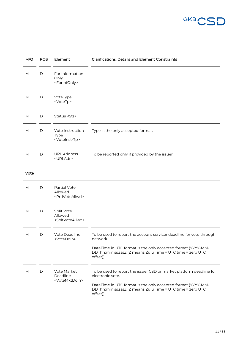

| M/O  | <b>POS</b>   | Element                                                    | <b>Clarifications, Details and Element Constraints</b>                                                                                |
|------|--------------|------------------------------------------------------------|---------------------------------------------------------------------------------------------------------------------------------------|
| M    | D            | For Information<br>Only<br><forinfonly></forinfonly>       |                                                                                                                                       |
| M    | D            | VoteType<br><votetp></votetp>                              |                                                                                                                                       |
| M    | D            | Status <sts></sts>                                         |                                                                                                                                       |
| M    | D            | Vote Instruction<br>Type<br><voteinstrtp></voteinstrtp>    | Type is the only accepted format.                                                                                                     |
| M    | D            | <b>URL Address</b><br><urladr></urladr>                    | To be reported only if provided by the issuer                                                                                         |
| Vote |              |                                                            |                                                                                                                                       |
| M    | D            | Partial Vote<br>Allowed<br><prtlvoteallwd></prtlvoteallwd> |                                                                                                                                       |
| M    | $\mathsf{D}$ | Split Vote<br>Allowed<br><spltvoteallwd></spltvoteallwd>   |                                                                                                                                       |
| M    | D            | Vote Deadline<br><voteddin></voteddin>                     | To be used to report the account servicer deadline for vote through<br>network.                                                       |
|      |              |                                                            | DateTime in UTC format is the only accepted format (YYYY-MM-<br>DDThh:mm:ss.sssZ (Z means Zulu Time ≡ UTC time ≡ zero UTC<br>offset)) |
| М    | D            | Vote Market<br>Deadline                                    | To be used to report the issuer CSD or market platform deadline for<br>electronic vote.                                               |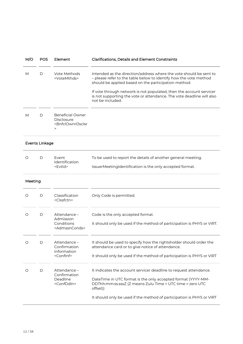| M/O     | <b>POS</b>            | Element                                                                                                                        | <b>Clarifications, Details and Element Constraints</b>                                                                                                                                                                                                                 |
|---------|-----------------------|--------------------------------------------------------------------------------------------------------------------------------|------------------------------------------------------------------------------------------------------------------------------------------------------------------------------------------------------------------------------------------------------------------------|
| М       | D                     | Vote Methods<br><votemthds></votemthds>                                                                                        | Intended as the direction/address where the vote should be sent to<br>- please refer to the table below to identify how the vote method<br>should be applied based on the participation method.<br>If vote through network is not populated, then the account servicer |
|         |                       |                                                                                                                                | is not supporting the vote or attendance. The vote deadline will also<br>not be included.                                                                                                                                                                              |
| М       | D                     | <b>Beneficial Owner</b><br><b>Disclosure</b><br><bnfclownrdsclsr<br><math display="inline">\, &gt;</math></bnfclownrdsclsr<br> |                                                                                                                                                                                                                                                                        |
|         | <b>Events Linkage</b> |                                                                                                                                |                                                                                                                                                                                                                                                                        |
| O       | D                     | Event<br>Identification                                                                                                        | To be used to report the details of another general meeting.                                                                                                                                                                                                           |
|         |                       | <evtid></evtid>                                                                                                                | IssuerMeetingIdentification is the only accepted format.                                                                                                                                                                                                               |
| Meeting |                       |                                                                                                                                |                                                                                                                                                                                                                                                                        |
| O       | D                     | Classification<br><clssfctn></clssfctn>                                                                                        | Only Code is permitted.                                                                                                                                                                                                                                                |
| O       | D                     | Attendance -<br>Admission                                                                                                      | Code is the only accepted format.                                                                                                                                                                                                                                      |
|         |                       | Conditions<br><admssnconds></admssnconds>                                                                                      | It should only be used if the method of participation is PHYS or VIRT.                                                                                                                                                                                                 |
| O       | D                     | Attendance -<br>Confirmation<br>Information                                                                                    | It should be used to specify how the rightsholder should order the<br>attendance card or to give notice of attendance.                                                                                                                                                 |
|         |                       | <conflnf></conflnf>                                                                                                            | It should only be used if the method of participation is PHYS or VIRT                                                                                                                                                                                                  |
| $\circ$ | $\mathsf D$           | Attendance -<br>Confirmation                                                                                                   | It indicates the account servicer deadline to request attendance.                                                                                                                                                                                                      |
|         |                       | Deadline<br><confddin></confddin>                                                                                              | DateTime in UTC format is the only accepted format (YYYY-MM-<br>DDThh:mm:ss.sssZ (Z means Zulu Time ≡ UTC time ≡ zero UTC<br>offset))                                                                                                                                  |
|         |                       |                                                                                                                                | It should only be used if the method of participation is PHYS or VIRT                                                                                                                                                                                                  |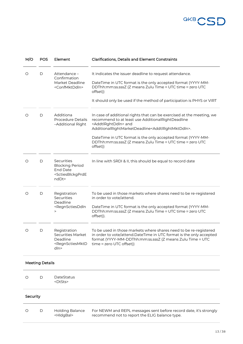

| M/O      | <b>POS</b>             | Element                                                                                                      | <b>Clarifications, Details and Element Constraints</b>                                                                                                                                                                                                                                                                                                                                |
|----------|------------------------|--------------------------------------------------------------------------------------------------------------|---------------------------------------------------------------------------------------------------------------------------------------------------------------------------------------------------------------------------------------------------------------------------------------------------------------------------------------------------------------------------------------|
| O        | D                      | Attendance -<br>Confirmation<br>Market Deadline<br><confmktddln></confmktddln>                               | It indicates the issuer deadline to request attendance.<br>DateTime in UTC format is the only accepted format (YYYY-MM-<br>DDThh:mm:ss.sssZ (Z means Zulu Time ≡ UTC time ≡ zero UTC<br>offset))<br>It should only be used if the method of participation is PHYS or VIRT                                                                                                             |
| O        | D                      | Additiona<br><b>Procedure Details</b><br>-Additional Right                                                   | In case of additional rights that can be exercised at the meeting, we<br>recommend to at least use AdditionalRightDeadline<br><addtlrghtddln> and<br/>AdditionalRightMarketDeadline<addtlrghtmktddln>.<br/>DateTime in UTC format is the only accepted format (YYYY-MM-<br/>DDThh:mm:ss.sssZ (Z means Zulu Time ≡ UTC time ≡ zero UTC<br/>offset))</addtlrghtmktddln></addtlrghtddln> |
| O        | D                      | Securities<br><b>Blocking Period</b><br><b>End Date</b><br><sctiesblckgprde<br>ndDt&gt;</sctiesblckgprde<br> | In line with SRDI & II, this should be equal to record date                                                                                                                                                                                                                                                                                                                           |
| O        | D                      | Registration<br>Securities<br>Deadline<br><regnsctiesddin<br><math>\geq</math></regnsctiesddin<br>           | To be used in those markets where shares need to be re-registered<br>in order to vote/attend.<br>DateTime in UTC format is the only accepted format (YYYY-MM-<br>DDThh:mm:ss.sssZ (Z means Zulu Time ≡ UTC time ≡ zero UTC<br>offset)).                                                                                                                                               |
| O        | D                      | Registration<br>Securities Market<br>Deadline<br><regnsctiesmktd<br>dln&gt;</regnsctiesmktd<br>              | To be used in those markets where shares need to be re-registered<br>in order to vote/attend.DateTime in UTC format is the only accepted<br>format (YYYY-MM-DDThh:mm:ss.sssZ (Z means Zulu Time $\equiv$ UTC<br>$time \equiv zero$ UTC offset))                                                                                                                                       |
|          | <b>Meeting Details</b> |                                                                                                              |                                                                                                                                                                                                                                                                                                                                                                                       |
| O        | D                      | DateStatus<br><dtsts></dtsts>                                                                                |                                                                                                                                                                                                                                                                                                                                                                                       |
| Security |                        |                                                                                                              |                                                                                                                                                                                                                                                                                                                                                                                       |
| O        | D                      | Holding Balance<br><hldgbal></hldgbal>                                                                       | For NEWM and REPL messages sent before record date, it's strongly<br>recommend not to report the ELIG balance type.                                                                                                                                                                                                                                                                   |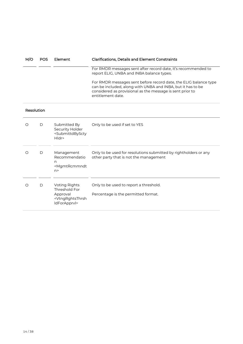| M/O        | <b>POS</b> | Element                                                                                                     | <b>Clarifications, Details and Element Constraints</b>                                                                                                                                                            |
|------------|------------|-------------------------------------------------------------------------------------------------------------|-------------------------------------------------------------------------------------------------------------------------------------------------------------------------------------------------------------------|
|            |            |                                                                                                             | For RMDR messages sent after record date, it's recommended to<br>report ELIG, UNBA and INBA balance types.                                                                                                        |
|            |            |                                                                                                             | For RMDR messages sent before record date, the ELIG balance type<br>can be included, along with UNBA and INBA, but it has to be<br>considered as provisional as the message is sent prior to<br>entitlement date. |
| Resolution |            |                                                                                                             |                                                                                                                                                                                                                   |
| $\circ$    | D          | Submitted By<br>Security Holder<br><submittdbyscty<br>Hldr&gt;</submittdbyscty<br>                          | Only to be used if set to YES                                                                                                                                                                                     |
| O          | D          | Management<br>Recommendatio<br>n<br><mgmtrcmmndt<br>n &gt;</mgmtrcmmndt<br>                                 | Only to be used for resolutions submitted by rightholders or any<br>other party that is not the management                                                                                                        |
| $\circ$    | D          | <b>Voting Rights</b><br>Threshold For<br>Approval<br><vtngrghtsthrsh<br>ldForApprvl&gt;</vtngrghtsthrsh<br> | Only to be used to report a threshold.<br>Percentage is the permitted format.                                                                                                                                     |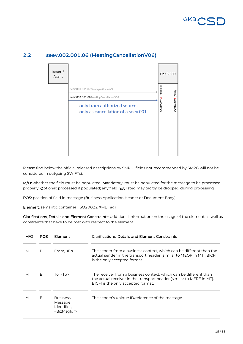

| Issuer /<br>Agent |                                                                                                                                                        |                    | OeKB CSD       |  |
|-------------------|--------------------------------------------------------------------------------------------------------------------------------------------------------|--------------------|----------------|--|
|                   | seev.001.001.07 MeetingNotificationV07<br>seev.002.001.06 MeetingCancellationV06<br>only from authorized sources<br>only as cancellation of a seev.001 | OCSDATWW (FINplus) | DCSDATW2 (CUG) |  |

#### <span id="page-14-0"></span>**2.2 seev.002.001.06 (MeetingCancellationV06)**

Please find below the official released descriptions by SMPG (fields not recommended by SMPG will not be considered in outgoing SWIFTs):

M/O: whether the field must be populated; Mandatory: must be populated for the message to be processed properly; Optional: processed if populated; any field not listed may tacitly be dropped during processing

POS: position of field in message (Business Application Header or Document Body)

Element: semantic container (ISO20022 XML Tag)

|   | POS | Element                                                              | <b>Clarifications, Details and Element Constraints</b>                                                                                                                          |
|---|-----|----------------------------------------------------------------------|---------------------------------------------------------------------------------------------------------------------------------------------------------------------------------|
| М | B   | From, <fr></fr>                                                      | The sender from a business context, which can be different than the<br>actual sender in the transport header (similar to MEOR in MT). BICFI<br>is the only accepted format.     |
| М | B   | To. $<$ To $>$                                                       | The receiver from a business context, which can be different than<br>the actual receiver in the transport header (similar to MERE in MT).<br>BICFI is the only accepted format. |
| М | B   | <b>Business</b><br>Message<br>Identifier,<br><bizmsgldr></bizmsgldr> | The sender's unique ID/reference of the message                                                                                                                                 |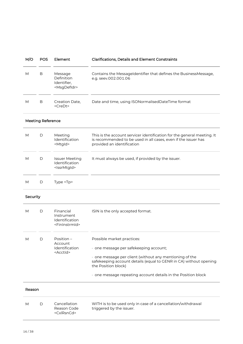| M/O      | <b>POS</b>               | Element                                                                  | <b>Clarifications, Details and Element Constraints</b>                                                                                                                                                                                                                                           |
|----------|--------------------------|--------------------------------------------------------------------------|--------------------------------------------------------------------------------------------------------------------------------------------------------------------------------------------------------------------------------------------------------------------------------------------------|
| M        | В                        | Message<br>Definition<br>Identifier,<br><msgdefidr></msgdefidr>          | Contains the MessageIdentifier that defines the BusinessMessage,<br>e.g. seev.002.001.06                                                                                                                                                                                                         |
| M        | B                        | Creation Date,<br><credt></credt>                                        | Date and time, using ISONormalisedDateTime format                                                                                                                                                                                                                                                |
|          | <b>Meeting Reference</b> |                                                                          |                                                                                                                                                                                                                                                                                                  |
| M        | D                        | Meeting<br>Identification<br><mtgld></mtgld>                             | This is the account servicer identification for the general meeting. It<br>is recommended to be used in all cases, even if the issuer has<br>provided an identification                                                                                                                          |
| M        | D                        | <b>Issuer Meeting</b><br>Identification<br><lssrmtgld></lssrmtgld>       | It must always be used, if provided by the issuer.                                                                                                                                                                                                                                               |
| M        | D                        | Type <tp></tp>                                                           |                                                                                                                                                                                                                                                                                                  |
| Security |                          |                                                                          |                                                                                                                                                                                                                                                                                                  |
| М        | D                        | Financial<br>Instrument<br>Identification<br><fininstrmid></fininstrmid> | ISIN is the only accepted format.                                                                                                                                                                                                                                                                |
| M        | D                        | Position<br>Account<br>Identification<br><acctid></acctid>               | Possible market practices:<br>· one message per safekeeping account;<br>one message per client (without any mentioning of the<br>safekeeping account details (equal to GENR in CA) without opening<br>the Position block)<br>$\cdot$ one message repeating account details in the Position block |
| Reason   |                          |                                                                          |                                                                                                                                                                                                                                                                                                  |
| M        | D                        | Cancellation<br>Reason Code<br><cxlrsncd></cxlrsncd>                     | WITH is to be used only in case of a cancellation/withdrawal<br>triggered by the issuer.                                                                                                                                                                                                         |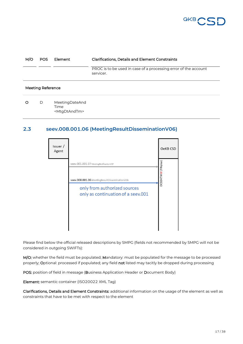

| M/C | POS.                     | Element                                             | <b>Clarifications, Details and Element Constraints</b>                       |
|-----|--------------------------|-----------------------------------------------------|------------------------------------------------------------------------------|
|     |                          |                                                     | PROC is to be used in case of a processing error of the account<br>servicer. |
|     | <b>Meeting Reference</b> |                                                     |                                                                              |
| ∩   | D                        | MeetingDateAnd<br>Time<br><mtgdtandtm></mtgdtandtm> |                                                                              |

#### <span id="page-16-0"></span>**2.3 seev.008.001.06 (MeetingResultDisseminationV06)**

| Issuer /<br>Agent |                                                                                                                                                               | OeKB CSD           |
|-------------------|---------------------------------------------------------------------------------------------------------------------------------------------------------------|--------------------|
|                   | seev.001.001.07 MeetingNotificationV07<br>seev.008.001.06 MeetingResultDisseminationV06<br>only from authorized sources<br>only as continuation of a seev.001 | OCSDATWW (FINplus) |

Please find below the official released descriptions by SMPG (fields not recommended by SMPG will not be considered in outgoing SWIFTs):

M/O: whether the field must be populated; Mandatory: must be populated for the message to be processed properly; Optional: processed if populated; any field not listed may tacitly be dropped during processing

POS: position of field in message (Business Application Header or Document Body)

Element: semantic container (ISO20022 XML Tag)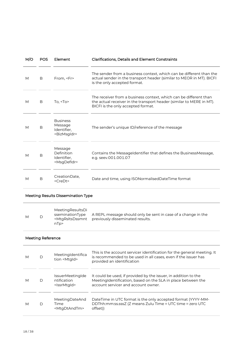| M/O | POS.                     | Element                                                                               | <b>Clarifications, Details and Element Constraints</b>                                                                                                                                       |  |  |
|-----|--------------------------|---------------------------------------------------------------------------------------|----------------------------------------------------------------------------------------------------------------------------------------------------------------------------------------------|--|--|
| M   | B                        | From, <fr></fr>                                                                       | The sender from a business context, which can be different than the<br>actual sender in the transport header (similar to MEOR in MT). BICFI<br>is the only accepted format.                  |  |  |
| М   | В                        | To, $<$ To $>$                                                                        | The receiver from a business context, which can be different than<br>the actual receiver in the transport header (similar to MERE in MT).<br>BICFI is the only accepted format.              |  |  |
| М   | В                        | <b>Business</b><br>Message<br>Identifier,<br><bizmsgldr></bizmsgldr>                  | The sender's unique ID/reference of the message                                                                                                                                              |  |  |
| M   | B                        | Message<br>Definition<br>Identifier,<br><msgdefidr></msgdefidr>                       | Contains the MessageIdentifier that defines the BusinessMessage,<br>e.g. seev.001.001.07                                                                                                     |  |  |
| М   | В                        | CreationDate,<br><credt></credt>                                                      | Date and time, using ISONormalisedDateTime format                                                                                                                                            |  |  |
|     |                          | <b>Meeting Results Dissemination Type</b>                                             |                                                                                                                                                                                              |  |  |
| M   | D                        | MeetingResultsDi<br>sseminationType<br><mtgrsltsdssmnt<br>nTp&gt;</mtgrsltsdssmnt<br> | A REPL message should only be sent in case of a change in the<br>previously disseminated results.                                                                                            |  |  |
|     | <b>Meeting Reference</b> |                                                                                       |                                                                                                                                                                                              |  |  |
| M   | D                        | MeetingIdentifica<br>tion <mtgld></mtgld>                                             | This is the account servicer identification for the general meeting. It<br>is recommended to be used in all cases, even if the issuer has<br>د. د که د د کارک د د او کارک د د او د او د او د |  |  |

|   |   |                                                                   | provided an identification                                                                                                                                             |
|---|---|-------------------------------------------------------------------|------------------------------------------------------------------------------------------------------------------------------------------------------------------------|
| M | D | <i>IssuerMeetingIde</i><br>ntification<br><lssrmtgld></lssrmtgld> | It could be used, if provided by the issuer, in addition to the<br>MeetingIdentification, based on the SLA in place between the<br>account servicer and account owner. |
| M | D | MeetingDateAnd<br>Time<br><mtgdtandtm></mtgdtandtm>               | DateTime in UTC format is the only accepted format (YYYY-MM-<br>DDThh:mm:ss.sssZ (Z means Zulu Time $\equiv$ UTC time $\equiv$ zero UTC<br>offset))                    |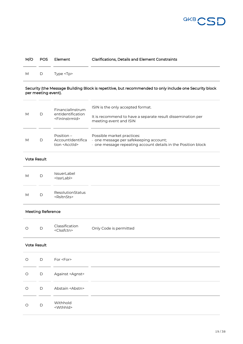

| M/O |   | POS Element    | <b>Clarifications, Details and Element Constraints</b> |
|-----|---|----------------|--------------------------------------------------------|
| M   | D | Type <tp></tp> |                                                        |
|     |   |                |                                                        |

#### Security (the Message Building Block is repetitive, but recommended to only include one Security block per meeting event).

| M | D | FinancialInstrum<br>entIdentification<br><fininstrmid></fininstrmid> | ISIN is the only accepted format.<br>It is recommend to have a separate result dissemination per<br>meeting event and ISIN        |
|---|---|----------------------------------------------------------------------|-----------------------------------------------------------------------------------------------------------------------------------|
| М | D | Position $-$<br>AccountIdentifica<br>tion <acctid></acctid>          | Possible market practices:<br>one message per safekeeping account;<br>one message repeating account details in the Position block |

#### Vote Result

| M | $\mathsf{D}$ | IssuerLabel<br><lssrlabl></lssrlabl>      |  |
|---|--------------|-------------------------------------------|--|
| M | D            | ResolutionStatus<br><rsltnsts></rsltnsts> |  |

#### Meeting Reference

| $\circ$ |  | Classification<br>$<$ Clssfctn> | Only Code is permitted |  |
|---------|--|---------------------------------|------------------------|--|
|---------|--|---------------------------------|------------------------|--|

#### Vote Result

| $\circ$ | $\Box$      | For <for></for>               |
|---------|-------------|-------------------------------|
| $\circ$ | $\mathsf D$ | Against <agnst></agnst>       |
| $\circ$ | $\Box$      | Abstain <abstn></abstn>       |
| $\circ$ | D           | Withhold<br><wthhld></wthhld> |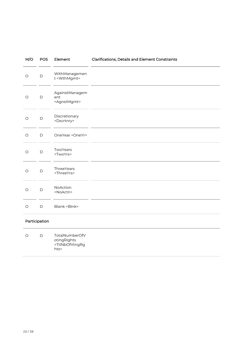| M/O           | POS          | Element                                          | Clarifications, Details and Element Constraints |
|---------------|--------------|--------------------------------------------------|-------------------------------------------------|
| $\bigcirc$    | $\mathsf D$  | WithManagemen<br>t <wthmgmt></wthmgmt>           |                                                 |
| $\bigcirc$    | $\mathsf D$  | AgainstManagem<br>ent<br><agnstmgmt></agnstmgmt> |                                                 |
| $\bigcirc$    | $\mathsf D$  | Discretionary<br><dscrtnry></dscrtnry>           |                                                 |
| $\bigcirc$    | $\mathsf{D}$ | OneYear <oneyr></oneyr>                          |                                                 |
| $\bigcirc$    | $\mathsf D$  | TwoYears<br><twoyrs></twoyrs>                    |                                                 |
| $\bigcirc$    | $\mathsf{D}$ | ThreeYears<br><threeyrs></threeyrs>              |                                                 |
| $\circ$       | $\mathsf D$  | NoAction<br><noactn></noactn>                    |                                                 |
| $\bigcirc$    | $\mathsf D$  | Blank <blnk></blnk>                              |                                                 |
| Participation |              |                                                  |                                                 |
| O             | D            | TotalNumberOfV                                   |                                                 |

| $\left( \right)$ | I٦. | TotalNumberOfV                                   |  |
|------------------|-----|--------------------------------------------------|--|
|                  |     | oting Rights                                     |  |
|                  |     | <ttlnbofvtngrg< td=""><td></td></ttlnbofvtngrg<> |  |
|                  |     | hts>                                             |  |
|                  |     |                                                  |  |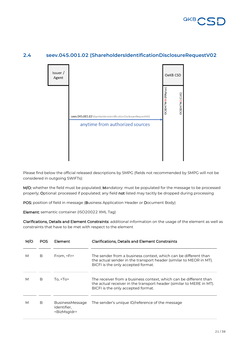



#### <span id="page-20-0"></span>**2.4 seev.045.001.02 (ShareholdersIdentificationDisclosureRequestV02**

Please find below the official released descriptions by SMPG (fields not recommended by SMPG will not be considered in outgoing SWIFTs):

M/O: whether the field must be populated; Mandatory: must be populated for the message to be processed properly; Optional: processed if populated; any field not listed may tacitly be dropped during processing

POS: position of field in message (Business Application Header or Document Body)

Element: semantic container (ISO20022 XML Tag)

|   | POS | Element                                                          | <b>Clarifications, Details and Element Constraints</b>                                                                                                                          |
|---|-----|------------------------------------------------------------------|---------------------------------------------------------------------------------------------------------------------------------------------------------------------------------|
| М | B   | From, <fr></fr>                                                  | The sender from a business context, which can be different than<br>the actual sender in the transport header (similar to MEOR in MT).<br>BICFI is the only accepted format.     |
| М | в   | To, $<$ To $>$                                                   | The receiver from a business context, which can be different than<br>the actual receiver in the transport header (similar to MERE in MT).<br>BICFI is the only accepted format. |
| М | B   | <b>BusinessMessage</b><br>Identifier,<br><bizmsqldr></bizmsqldr> | The sender's unique ID/reference of the message                                                                                                                                 |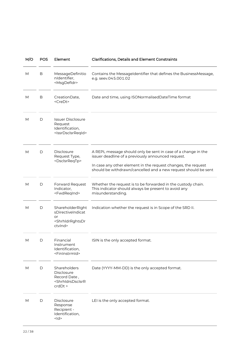| M/O | <b>POS</b>  | Element                                                                                                        | <b>Clarifications, Details and Element Constraints</b>                                                                                                                                                                                                 |
|-----|-------------|----------------------------------------------------------------------------------------------------------------|--------------------------------------------------------------------------------------------------------------------------------------------------------------------------------------------------------------------------------------------------------|
| M   | B           | MessageDefinitio<br>nIdentifier,<br><msgdefidr></msgdefidr>                                                    | Contains the MessageIdentifier that defines the BusinessMessage,<br>e.g. seev.045.001.02                                                                                                                                                               |
| М   | B           | CreationDate,<br><credt></credt>                                                                               | Date and time, using ISONormalisedDateTime format                                                                                                                                                                                                      |
| M   | D           | <b>Issuer Disclosure</b><br>Request<br>Identification,<br><issrdsclsrreqid></issrdsclsrreqid>                  |                                                                                                                                                                                                                                                        |
| M   | D           | Disclosure<br>Request Type,<br><dsclsrreqtp></dsclsrreqtp>                                                     | A REPL message should only be sent in case of a change in the<br>issuer deadline of a previously announced request.<br>In case any other element in the request changes, the request<br>should be withdrawn/cancelled and a new request should be sent |
| M   | D           | Forward Request<br>Indicator,<br><fwdreqind></fwdreqind>                                                       | Whether the request is to be forwarded in the custody chain.<br>This indicator should always be present to avoid any<br>misunderstanding.                                                                                                              |
| M   | D           | ShareholderRight<br>sDirectiveIndicat<br>or<br><shrhldrrghtsdr<br>ctvlnd&gt;</shrhldrrghtsdr<br>               | Indication whether the request is in Scope of the SRD II.                                                                                                                                                                                              |
| Μ   | D           | Financial<br>Instrument<br>Identification,<br><fininstrmid></fininstrmid>                                      | ISIN is the only accepted format.                                                                                                                                                                                                                      |
| M   | D           | Shareholders<br>Disclosure<br>Record Date,<br><shrhldrsdsclsrr<br><math>crdDt</math> &gt;</shrhldrsdsclsrr<br> | Date (YYYY-MM-DD) is the only accepted format.                                                                                                                                                                                                         |
| M   | $\mathsf D$ | Disclosure<br>Response<br>Recipient -<br>Identification,<br>< d>                                               | LEI is the only accepted format.                                                                                                                                                                                                                       |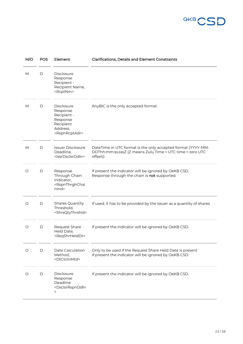

| M/O | <b>POS</b> | Element                                                                                                            | <b>Clarifications, Details and Element Constraints</b>                                                                                |
|-----|------------|--------------------------------------------------------------------------------------------------------------------|---------------------------------------------------------------------------------------------------------------------------------------|
| М   | D          | Disclosure<br>Response<br>Recipient -<br>Recipient Name,<br><rcptnm></rcptnm>                                      |                                                                                                                                       |
| M   | D          | <b>Disclosure</b><br>Response<br>Recipient -<br>Response<br>Recipient<br>Address,<br><rspnrcptadr></rspnrcptadr>   | AnyBIC is the only accepted format.                                                                                                   |
| M   | D          | <b>Issuer Disclosure</b><br>Deadline,<br><lssrdsclsrddin></lssrdsclsrddin>                                         | DateTime in UTC format is the only accepted format (YYYY-MM-<br>DDThh:mm:ss.sssZ (Z means Zulu Time ≡ UTC time ≡ zero UTC<br>offset)) |
| O   | D          | Response<br>Through Chain<br>Indicator,<br><rspnthrghchai<br>nlnd&gt;</rspnthrghchai<br>                           | If present the indicator will be ignored by OeKB CSD.<br>Response through the chain is not supported.                                 |
| O   | D          | Shares Quantity<br>Threshold,<br><shrsqtythrshid></shrsqtythrshid>                                                 | If used, it has to be provided by the issuer as a quantity of shares                                                                  |
| O   | D          | Request Share<br>Held Date,<br><reqshrhelddt></reqshrhelddt>                                                       | If present the indicator will be ignored by OeKB CSD.                                                                                 |
| O   | D          | Date Calculation<br>Method,<br><dtclctnmtd></dtclctnmtd>                                                           | Only to be used if the Request Share Held Date is present<br>If present the indicator will be ignored by OeKB CSD.                    |
| O   | D          | Disclosure<br>Response<br>Deadline<br><dsclsrrspnddln<br><math display="inline">\, &gt;</math></dsclsrrspnddln<br> | If present the indicator will be ignored by OeKB CSD.                                                                                 |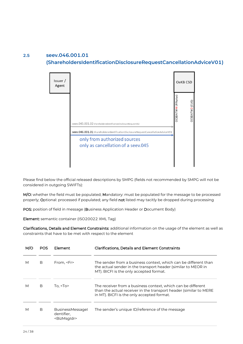#### <span id="page-23-0"></span>**2.5 seev.046.001.01 (ShareholdersIdentificationDisclosureRequestCancellationAdviceV01)**



Please find below the official released descriptions by SMPG (fields not recommended by SMPG will not be considered in outgoing SWIFTs):

M/O: whether the field must be populated; Mandatory: must be populated for the message to be processed properly; Optional: processed if populated; any field not listed may tacitly be dropped during processing

POS: position of field in message (Business Application Header or Document Body)

Element: semantic container (ISO20022 XML Tag)

|   | POS | Element                                                          | <b>Clarifications, Details and Element Constraints</b>                                                                                                                          |
|---|-----|------------------------------------------------------------------|---------------------------------------------------------------------------------------------------------------------------------------------------------------------------------|
| М | B   | From, <fr></fr>                                                  | The sender from a business context, which can be different than<br>the actual sender in the transport header (similar to MEOR in<br>MT). BICFI is the only accepted format.     |
| М | B   | To, $<$ To $>$                                                   | The receiver from a business context, which can be different<br>than the actual receiver in the transport header (similar to MERE<br>in MT). BICFI is the only accepted format. |
| М | B   | <b>BusinessMessagel</b><br>dentifier,<br><bizmsqldr></bizmsqldr> | The sender's unique ID/reference of the message                                                                                                                                 |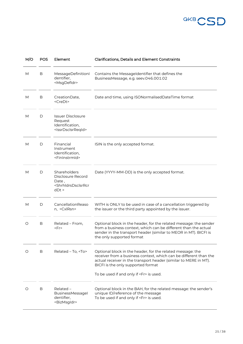

| M/O | <b>POS</b> | Element                                                                                                          | <b>Clarifications, Details and Element Constraints</b>                                                                                                                                                                                                                                    |
|-----|------------|------------------------------------------------------------------------------------------------------------------|-------------------------------------------------------------------------------------------------------------------------------------------------------------------------------------------------------------------------------------------------------------------------------------------|
| M   | В          | MessageDefinitionl<br>dentifier,<br><msgdefidr></msgdefidr>                                                      | Contains the MessageIdentifier that defines the<br>BusinessMessage, e.g. seev.046.001.02                                                                                                                                                                                                  |
| М   | B          | CreationDate,<br><credt></credt>                                                                                 | Date and time, using ISONormalisedDateTime format                                                                                                                                                                                                                                         |
| М   | D          | Issuer Disclosure<br>Request<br>Identification,<br><lssrdsclsrreqid></lssrdsclsrreqid>                           |                                                                                                                                                                                                                                                                                           |
| M   | D          | Financial<br>Instrument<br>Identification,<br><fininstrmid></fininstrmid>                                        | ISIN is the only accepted format.                                                                                                                                                                                                                                                         |
| М   | D          | Shareholders<br>Disclosure Record<br>Date,<br><shrhldrsdsclsrrcr<br><math>dDt</math> &gt;</shrhldrsdsclsrrcr<br> | Date (YYYY-MM-DD) is the only accepted format.                                                                                                                                                                                                                                            |
| М   | D          | CancellationReaso<br>n, <cxlrsn></cxlrsn>                                                                        | WITH is ONLY to be used in case of a cancellation triggered by<br>the issuer or the third party appointed by the issuer.                                                                                                                                                                  |
| O   | В          | Related - From,<br><fr></fr>                                                                                     | Optional block in the header, for the related message: the sender<br>from a business context, which can be different than the actual<br>sender in the transport header (similar to MEOR in MT). BICFI is<br>the only supported format                                                     |
| O   | B          | Related - To, <to></to>                                                                                          | Optional block in the header, for the related message: the<br>receiver from a business context, which can be different than the<br>actual receiver in the transport header (similar to MERE in MT).<br>BICFI is the only supported format<br>To be used if and only if <fr> is used.</fr> |
| O   | B          | $Related -$<br>BusinessMessagel<br>dentifier,<br><bizmsgldr></bizmsgldr>                                         | Optional block in the BAH, for the related message: the sender's<br>unique ID/reference of the message<br>To be used if and only if <fr> is used.</fr>                                                                                                                                    |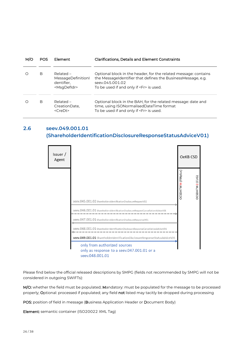| M/C | POS | Element                                                                  | <b>Clarifications, Details and Element Constraints</b>                                                                                                                                             |
|-----|-----|--------------------------------------------------------------------------|----------------------------------------------------------------------------------------------------------------------------------------------------------------------------------------------------|
| ∩   | B   | Related –<br>MessageDefinitionl<br>dentifier.<br><msqdefidr></msqdefidr> | Optional block in the header, for the related message: contains<br>the MessageIdentifier that defines the BusinessMessage, e.g.<br>seev.045.001.02<br>To be used if and only if <fr> is used.</fr> |
| ∩   | B   | $Related -$<br>CreationDate,<br>$<$ CreDt>                               | Optional block in the BAH, for the related message: date and<br>time, using ISONormalisedDateTime format<br>To be used if and only if <fr> is used.</fr>                                           |

#### <span id="page-25-0"></span>**2.6 seev.049.001.01**

#### **(ShareholderIdentificationDisclosureResponseStatusAdviceV01)**



Please find below the official released descriptions by SMPG (fields not recommended by SMPG will not be considered in outgoing SWIFTs):

M/O: whether the field must be populated; Mandatory: must be populated for the message to be processed properly; Optional: processed if populated; any field not listed may tacitly be dropped during processing

POS: position of field in message (Business Application Header or Document Body)

Element: semantic container (ISO20022 XML Tag)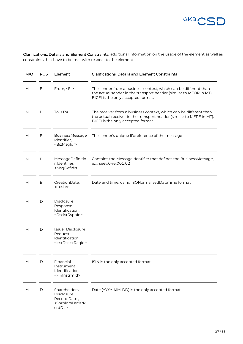

| M/O       | <b>POS</b>   | Element                                                                                                               | <b>Clarifications, Details and Element Constraints</b>                                                                                                                          |
|-----------|--------------|-----------------------------------------------------------------------------------------------------------------------|---------------------------------------------------------------------------------------------------------------------------------------------------------------------------------|
| ${\sf M}$ | В            | From, <fr></fr>                                                                                                       | The sender from a business context, which can be different than<br>the actual sender in the transport header (similar to MEOR in MT).<br>BICFI is the only accepted format.     |
| M         | В            | To, $<$ To>                                                                                                           | The receiver from a business context, which can be different than<br>the actual receiver in the transport header (similar to MERE in MT).<br>BICFI is the only accepted format. |
| M         | В            | <b>BusinessMessage</b><br>Identifier,<br><bizmsgldr></bizmsgldr>                                                      | The sender's unique ID/reference of the message                                                                                                                                 |
| M         | В            | MessageDefinitio<br>nIdentifier,<br><msgdefidr></msgdefidr>                                                           | Contains the MessageIdentifier that defines the BusinessMessage,<br>e.g. seev.046.001.02                                                                                        |
| М         | B            | CreationDate,<br><credt></credt>                                                                                      | Date and time, using ISONormalisedDateTime format                                                                                                                               |
| М         | D            | Disclosure<br>Response<br>Identification,<br><dsclsrrspnid></dsclsrrspnid>                                            |                                                                                                                                                                                 |
| М         | D            | <b>Issuer Disclosure</b><br>Request<br>Identification,<br><lssrdsclsrreqid></lssrdsclsrreqid>                         |                                                                                                                                                                                 |
| М         | D            | Financial<br>Instrument<br>Identification,<br><fininstrmid></fininstrmid>                                             | ISIN is the only accepted format.                                                                                                                                               |
| M         | $\mathsf{D}$ | Shareholders<br><b>Disclosure</b><br>Record Date,<br><shrhldrsdsclsrr<br><math>crdDt</math> &gt;</shrhldrsdsclsrr<br> | Date (YYYY-MM-DD) is the only accepted format.                                                                                                                                  |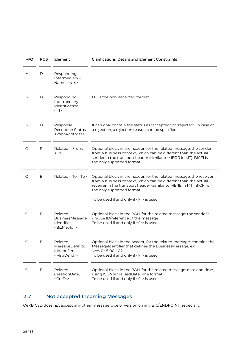| M/O | <b>POS</b> | Element                                                                  | <b>Clarifications, Details and Element Constraints</b>                                                                                                                                                                                                                                    |
|-----|------------|--------------------------------------------------------------------------|-------------------------------------------------------------------------------------------------------------------------------------------------------------------------------------------------------------------------------------------------------------------------------------------|
| М   | D          | Responding<br>Intermediary-<br>Name, <nm></nm>                           |                                                                                                                                                                                                                                                                                           |
| М   | D          | Responding<br>Intermediary-<br>Identification,<br><ld></ld>              | LEI is the only accepted format.                                                                                                                                                                                                                                                          |
| М   | D          | Response<br>Reception Status,<br><rspnrcptnsts></rspnrcptnsts>           | It can only contain the status as "accepted" or "rejected". In case of<br>a rejection, a rejection reason can be specified                                                                                                                                                                |
| O   | B          | Related - From,<br><fr></fr>                                             | Optional block in the header, for the related message: the sender<br>from a business context, which can be different than the actual<br>sender in the transport header (similar to MEOR in MT). BICFI is<br>the only supported format                                                     |
| O   | B          | Related - To, <to></to>                                                  | Optional block in the header, for the related message: the receiver<br>from a business context, which can be different than the actual<br>receiver in the transport header (similar to MERE in MT). BICFI is<br>the only supported format<br>To be used if and only if <fr> is used.</fr> |
|     |            |                                                                          |                                                                                                                                                                                                                                                                                           |
| O   | B          | $Related -$<br>BusinessMessage<br>Identifier,<br><bizmsgldr></bizmsgldr> | Optional block in the BAH, for the related message: the sender's<br>unique ID/reference of the message<br>To be used if and only if <fr> is used.</fr>                                                                                                                                    |
| O   | B          | Related -<br>MessageDefinitio<br>nIdentifier,<br><msgdefidr></msgdefidr> | Optional block in the header, for the related message: contains the<br>MessageIdentifier that defines the BusinessMessage, e.g.<br>seev.045.001.02<br>To be used if and only if <fr> is used.</fr>                                                                                        |
| O   | B          | Related -<br>CreationDate,<br><credt></credt>                            | Optional block in the BAH, for the related message: date and time,<br>using ISONormalisedDateTime format<br>To be used if and only if <fr> is used.</fr>                                                                                                                                  |

#### <span id="page-27-0"></span>**2.7 Not accepted Incoming Messages**

OeKB CSD does not accept any other message type or version on any BIC/ENDPOINT, especially: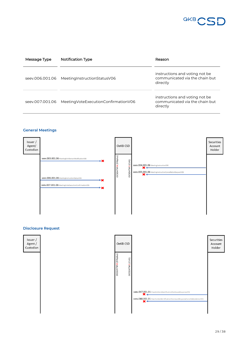

| Message Type    | <b>Notification Type</b>                | Reason                                                                       |
|-----------------|-----------------------------------------|------------------------------------------------------------------------------|
| seev.006.001.06 | Meeting Instruction Status V06          | instructions and voting not be<br>communicated via the chain but<br>directly |
| seev.007.001.06 | Meeting Vote Execution Confirmation V06 | instructions and voting not be<br>communicated via the chain but<br>directly |

#### **General Meetings**



#### **Disclosure Request**

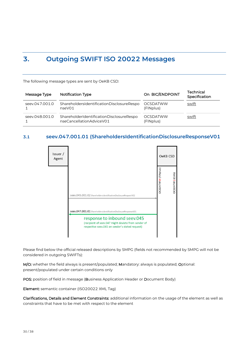# <span id="page-29-0"></span>**3. Outgoing SWIFT ISO 20022 Messages**

The following message types are sent by OeKB CSD:

| Message Type   | <b>Notification Type</b>                                             | On BIC/ENDPOINT              | <b>Technical</b><br>Specification |
|----------------|----------------------------------------------------------------------|------------------------------|-----------------------------------|
| seev.047.001.0 | ShareholdersIdentificationDisclosureRespo<br>nseV01                  | <b>OCSDATWW</b><br>(FINplus) | swift                             |
| seev.048.001.0 | ShareholderIdentificationDisclosureRespo<br>nseCancellationAdviceV01 | <b>OCSDATWW</b><br>(FINplus) | swift                             |

#### <span id="page-29-1"></span>**3.1 seev.047.001.01 (ShareholdersIdentificationDisclosureResponseV01**



Please find below the official released descriptions by SMPG (fields not recommended by SMPG will not be considered in outgoing SWIFTs):

M/O: whether the field always is present/populated; Mandatory: always is populated; Optional: present/populated under certain conditions only

POS: position of field in message (Business Application Header or Document Body)

Element: semantic container (ISO20022 XML Tag)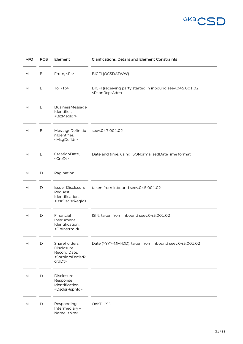

| M/O | <b>POS</b>  | Element                                                                                          | <b>Clarifications, Details and Element Constraints</b>                                    |
|-----|-------------|--------------------------------------------------------------------------------------------------|-------------------------------------------------------------------------------------------|
| М   | $\mathsf B$ | From, <fr></fr>                                                                                  | <b>BICFI (OCSDATWW)</b>                                                                   |
| M   | В           | To, $<$ To $>$                                                                                   | BICFI (receiving party started in inbound seev.045.001.02<br><rspnrcptadr>)</rspnrcptadr> |
| M   | В           | BusinessMessage<br>Identifier,<br><bizmsgldr></bizmsgldr>                                        |                                                                                           |
| M   | $\mathsf B$ | MessageDefinitio<br>nIdentifier,<br><msgdefidr></msgdefidr>                                      | seev.047.001.02                                                                           |
| M   | B           | CreationDate,<br><credt></credt>                                                                 | Date and time, using ISONormalisedDateTime format                                         |
| M   | D           | Pagination                                                                                       |                                                                                           |
| M   | $\mathsf D$ | <b>Issuer Disclosure</b><br>Request<br>Identification,<br><issrdsclsrreqid></issrdsclsrreqid>    | taken from inbound seev.045.001.02                                                        |
| M   | D           | Financial<br>Instrument<br>Identification,<br><fininstrmid></fininstrmid>                        | ISIN, taken from inbound seev.045.001.02                                                  |
| M   | D           | Shareholders<br>Disclosure<br>Record Date,<br><shrhldrsdsclsrr<br>crdDt&gt;</shrhldrsdsclsrr<br> | Date (YYYY-MM-DD), taken from inbound seev.045.001.02                                     |
| M   | D           | Disclosure<br>Response<br>Identification,<br><dsclsrrspnid></dsclsrrspnid>                       |                                                                                           |
| M   | $\mathsf D$ | Responding<br>Intermediary-<br>Name, <nm></nm>                                                   | OeKB CSD                                                                                  |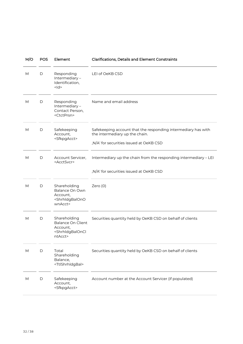| M/O | POS | Element                                                                                                   | <b>Clarifications, Details and Element Constraints</b>                                                                                     |  |
|-----|-----|-----------------------------------------------------------------------------------------------------------|--------------------------------------------------------------------------------------------------------------------------------------------|--|
| M   | D   | Responding<br>Intermediary-<br>Identification,<br>$<$ $\mathsf{Id}$                                       | LEI of OeKB CSD                                                                                                                            |  |
| M   | D   | Responding<br>Intermediary-<br>Contact Person,<br><ctctprsn></ctctprsn>                                   | Name and email address                                                                                                                     |  |
| M   | D   | Safekeeping<br>Account,<br><sfkpgacct></sfkpgacct>                                                        | Safekeeping account that the responding intermediary has with<br>the intermediary up the chain.<br>,N/A' for securities issued at OeKB CSD |  |
| M   | D   | Account Servicer,<br><acctsvcr></acctsvcr>                                                                | Intermediary up the chain from the responding intermediary - LEI                                                                           |  |
|     |     |                                                                                                           | ,N/A' for securities issued at OeKB CSD                                                                                                    |  |
| M   | D   | Shareholding<br>Balance On Own<br>Account,<br><shrhldgbalono<br>wnAcct&gt;</shrhldgbalono<br>             | Zero (0)                                                                                                                                   |  |
| M   | D   | Shareholding<br><b>Balance On Client</b><br>Account,<br><shrhidgbaloncl<br>ntAcct&gt;</shrhidgbaloncl<br> | Securities quantity held by OeKB CSD on behalf of clients                                                                                  |  |
| M   | D   | Total<br>Shareholding<br>Balance,<br><ttlshrhldgbal></ttlshrhldgbal>                                      | Securities quantity held by OeKB CSD on behalf of clients                                                                                  |  |
| M   | D   | Safekeeping<br>Account,<br><sfkpgacct></sfkpgacct>                                                        | Account number at the Account Servicer (if populated)                                                                                      |  |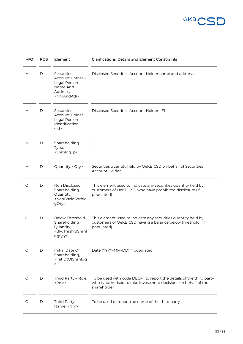

| M/O | <b>POS</b> | Element                                                                                                             | <b>Clarifications, Details and Element Constraints</b>                                                                                                |  |
|-----|------------|---------------------------------------------------------------------------------------------------------------------|-------------------------------------------------------------------------------------------------------------------------------------------------------|--|
| М   | D          | Securities<br>Account Holder -<br>Legal Person -<br>Name And<br>Address,<br><nmandadr></nmandadr>                   | Disclosed Securities Account Holder name and address                                                                                                  |  |
| M   | D          | Securities<br>Account Holder -<br>Legal Person -<br>Identification,<br>$<$ $\vert d$                                | Disclosed Securities Account Holder LEI                                                                                                               |  |
| M   | D          | Shareholding<br>Type,<br><shrhldgtp></shrhldgtp>                                                                    | U'                                                                                                                                                    |  |
| М   | D          | Quantity, <qty></qty>                                                                                               | Securities quantity held by OeKB CSD on behalf of Securities<br>Account Holder                                                                        |  |
| O   | D          | Non Disclosed<br>Shareholding<br>Quantity,<br><nondscldshrhld<br>gQty&gt;</nondscldshrhld<br>                       | This element used to indicate any securities quantity held by<br>customers of OeKB CSD who have prohibited disclosure (if<br>populated)               |  |
| O   | D          | <b>Below Threshold</b><br>Shareholding<br>Quantity,<br><blwthrshldshrhl<br>dgQty&gt;</blwthrshldshrhl<br>           | This element used to indicate any securities quantity held by<br>customers of OeKB CSD having a balance below threshold (if<br>populated)             |  |
| O   | D          | Initial Date Of<br>Shareholding,<br><initldtofshrhldg<br><math display="inline">\,&gt;</math></initldtofshrhldg<br> | Date (YYYY-MM-DD) if populated                                                                                                                        |  |
| O   | D          | Third Party - Role,<br><role></role>                                                                                | To be used with code DECM, to report the details of the third party<br>who is authorised to take investment decisions on behalf of the<br>shareholder |  |
| O   | D          | Third Party -<br>Name, <nm></nm>                                                                                    | To be used to report the name of the third party                                                                                                      |  |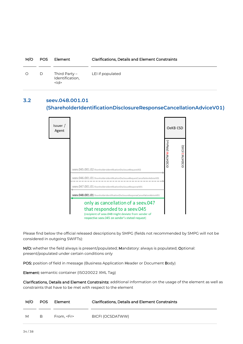| M/O     | <b>POS</b> | Element                                     | <b>Clarifications, Details and Element Constraints</b> |  |
|---------|------------|---------------------------------------------|--------------------------------------------------------|--|
| $\circ$ | D          | Third Party –<br>Identification,<br>$<$ ld> | LEI if populated                                       |  |

### <span id="page-33-0"></span>**3.2 seev.048.001.01 (ShareholderIdentificationDisclosureResponseCancellationAdviceV01)**

| Issuer /<br>Agent |                                                                                                                                                                              |                           | OeKB CSD              |
|-------------------|------------------------------------------------------------------------------------------------------------------------------------------------------------------------------|---------------------------|-----------------------|
|                   | seev.045.001.02 ShareholdersIdentificationDisclosureRequestV02                                                                                                               | <b>DCSDATWW</b> (FINplus) | <b>DCSDATW2</b> (CUG) |
|                   | seev.046.001.01 ShareholdersIdentificationDisclosureRequestCancellationAdviceV01<br>seev.047.001.01 ShareholdersIdentificationDisclosureResponseV01                          |                           |                       |
|                   | seev.048.001.01 ShareholderIdentificationDisclosureResponseCancellationAdviceV01                                                                                             |                           |                       |
|                   | only as cancellation of a seev.047<br>that responded to a seev.045<br>(recipient of seev.048 might deviate from sender of<br>respective seev.045 on sender's stated request) |                           |                       |

Please find below the official released descriptions by SMPG (fields not recommended by SMPG will not be considered in outgoing SWIFTs):

M/O: whether the field always is present/populated; Mandatory: always is populated; Optional: present/populated under certain conditions only

POS: position of field in message (Business Application Header or Document Body)

Element: semantic container (ISO20022 XML Tag)

| M/O | POS. | Element         | <b>Clarifications, Details and Element Constraints</b> |  |
|-----|------|-----------------|--------------------------------------------------------|--|
| M   | B    | From. <fr></fr> | BICFI (OCSDATWW)                                       |  |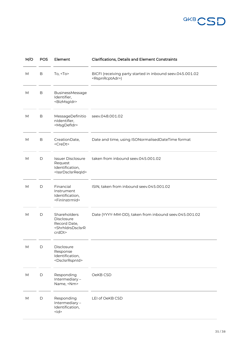

| M/O                               | <b>POS</b>   | Element                                                                                          | <b>Clarifications, Details and Element Constraints</b>                                    |
|-----------------------------------|--------------|--------------------------------------------------------------------------------------------------|-------------------------------------------------------------------------------------------|
| M                                 | В            | To, $<$ To $>$                                                                                   | BICFI (receiving party started in inbound seev.045.001.02<br><rspnrcptadr>)</rspnrcptadr> |
| M                                 | В            | BusinessMessage<br>Identifier,<br><bizmsgldr></bizmsgldr>                                        |                                                                                           |
| M                                 | B            | MessageDefinitio<br>nIdentifier,<br><msgdefidr></msgdefidr>                                      | seev.048.001.02                                                                           |
| M                                 | B            | CreationDate,<br><credt></credt>                                                                 | Date and time, using ISONormalisedDateTime format                                         |
| М                                 | D            | <b>Issuer Disclosure</b><br>Request<br>Identification,<br><lssrdsclsrreqid></lssrdsclsrreqid>    | taken from inbound seev.045.001.02                                                        |
| M                                 | $\mathsf{D}$ | Financial<br>Instrument<br>Identification,<br><fininstrmid></fininstrmid>                        | ISIN, taken from inbound seev.045.001.02                                                  |
| M                                 | D            | Shareholders<br>Disclosure<br>Record Date,<br><shrhldrsdsclsrr<br>crdDt&gt;</shrhldrsdsclsrr<br> | Date (YYYY-MM-DD), taken from inbound seev.045.001.02                                     |
| M                                 | $\mathsf D$  | Disclosure<br>Response<br>Identification,<br><dsclsrrspnid></dsclsrrspnid>                       |                                                                                           |
| $\mathsf{M}% _{H}=\mathsf{M}_{H}$ | $\mathsf D$  | Responding<br>Intermediary-<br>Name, <nm></nm>                                                   | OeKB CSD                                                                                  |
| M                                 | $\mathsf D$  | Responding<br>Intermediary-<br>Identification,<br>$<$ $ d>$                                      | LEI of OeKB CSD                                                                           |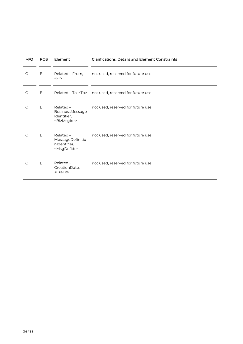| M/O | POS | Element                                                                  | <b>Clarifications, Details and Element Constraints</b>    |
|-----|-----|--------------------------------------------------------------------------|-----------------------------------------------------------|
| O   | B   | Related - From,<br>$<$ Fr>                                               | not used, reserved for future use                         |
| O   | B   |                                                                          | Related - To, <to> not used, reserved for future use</to> |
| O   | B   | $Related -$<br>BusinessMessage<br>Identifier,<br><bizmsgldr></bizmsgldr> | not used, reserved for future use                         |
| O   | B   | Related -<br>MessageDefinitio<br>nIdentifier,<br><msgdefidr></msgdefidr> | not used, reserved for future use                         |
| O   | B   | Related -<br>CreationDate,<br><credt></credt>                            | not used, reserved for future use                         |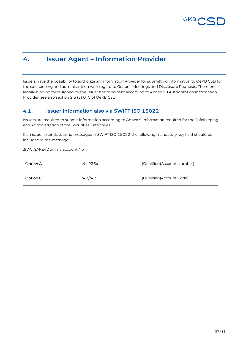

### <span id="page-36-0"></span>**4. Issuer Agent – Information Provider**

Issuers have the possibility to authorize an Information Provider for submitting information to OeKB CSD for the safekeeping and administration with regard to General Meetings and Disclosure Requests. Therefore a legally binding form signed by the Issuer has to be sent according to Annex 10 Authorization Information Provider, see also section 2.6 (3) GTC of OeKB CSD.

#### <span id="page-36-1"></span>**4.1 Issuer Information also via SWIFT ISO 15022**

Issuers are required to submit information according to Annex 9 Information required for the Safekeeping and Administration of the Securities Categories.

If an issuer intends to send messages in SWIFT ISO 15022 the following mandatory key field should be included in the message:

:97A: :SAFE//Dummy account No

| Option A | :4!c//35x | (Qualifier)(Account Number) |
|----------|-----------|-----------------------------|
| Option C | :4!c//4!c | (Qualifier)(Account Code)   |